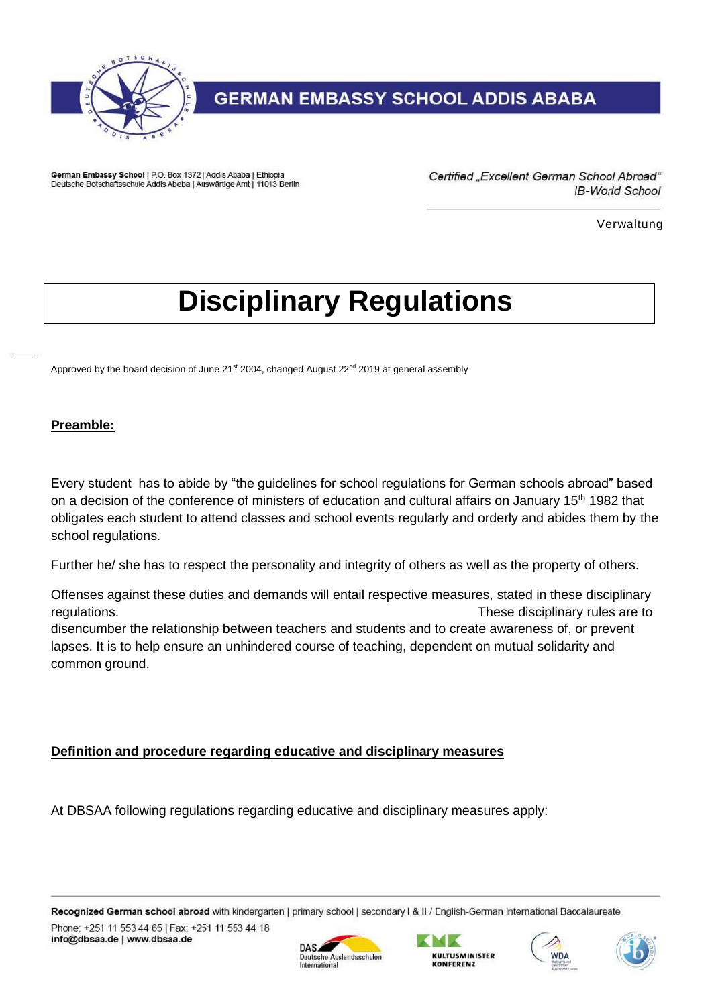

German Embassy School | P.O. Box 1372 | Addis Ababa | Ethiopia Deutsche Botschaftsschule Addis Abeba | Auswärtige Amt | 11013 Berlin Certified "Excellent German School Abroad" **IB-World School** 

Verwaltung

# **Disciplinary Regulations**

Approved by the board decision of June 21<sup>st</sup> 2004, changed August 22<sup>nd</sup> 2019 at general assembly

#### **Preamble:**

Every student has to abide by "the guidelines for school regulations for German schools abroad" based on a decision of the conference of ministers of education and cultural affairs on January 15<sup>th</sup> 1982 that obligates each student to attend classes and school events regularly and orderly and abides them by the school regulations.

Further he/ she has to respect the personality and integrity of others as well as the property of others.

Offenses against these duties and demands will entail respective measures, stated in these disciplinary regulations. These disciplinary rules are to disencumber the relationship between teachers and students and to create awareness of, or prevent lapses. It is to help ensure an unhindered course of teaching, dependent on mutual solidarity and common ground.

#### **Definition and procedure regarding educative and disciplinary measures**

At DBSAA following regulations regarding educative and disciplinary measures apply:

Recognized German school abroad with kindergarten | primary school | secondary I & II / English-German International Baccalaureate Phone: +251 11 553 44 65 | Fax: +251 11 553 44 18 info@dbsaa.de | www.dbsaa.de







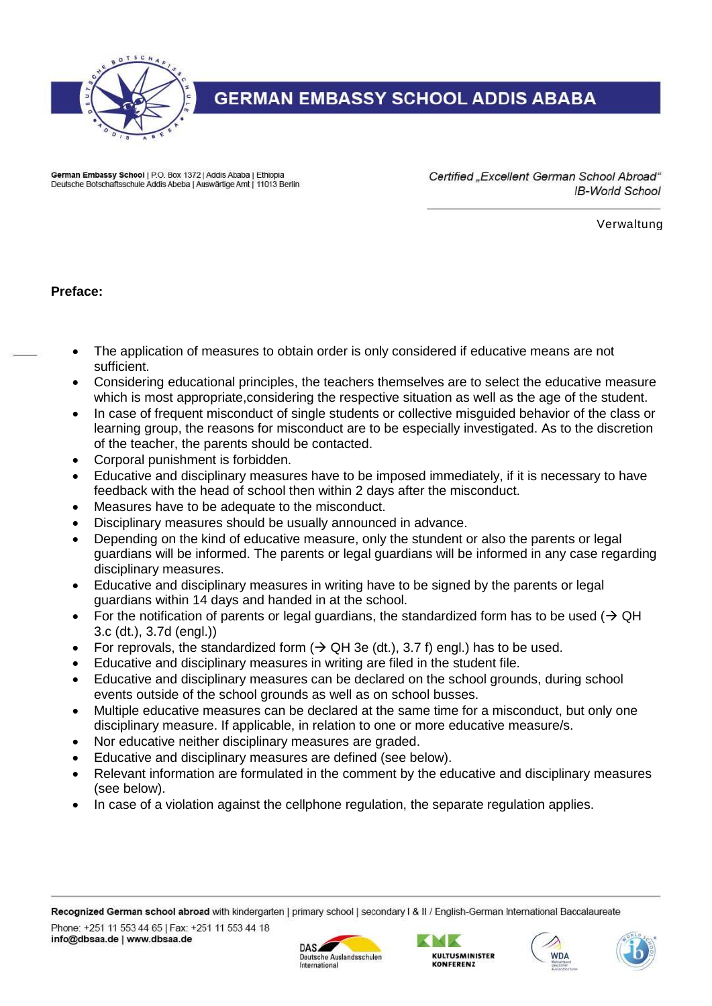

German Embassy School | P.O. Box 1372 | Addis Ababa | Ethiopia Deutsche Botschaftsschule Addis Abeba | Auswärtige Amt | 11013 Berlin Certified "Excellent German School Abroad" **IB-World School** 

Verwaltung

**Preface:**

- The application of measures to obtain order is only considered if educative means are not sufficient.
- Considering educational principles, the teachers themselves are to select the educative measure which is most appropriate, considering the respective situation as well as the age of the student.
- In case of frequent misconduct of single students or collective misguided behavior of the class or learning group, the reasons for misconduct are to be especially investigated. As to the discretion of the teacher, the parents should be contacted.
- Corporal punishment is forbidden.
- Educative and disciplinary measures have to be imposed immediately, if it is necessary to have feedback with the head of school then within 2 days after the misconduct.
- Measures have to be adequate to the misconduct.
- Disciplinary measures should be usually announced in advance.
- Depending on the kind of educative measure, only the stundent or also the parents or legal guardians will be informed. The parents or legal guardians will be informed in any case regarding disciplinary measures.
- Educative and disciplinary measures in writing have to be signed by the parents or legal guardians within 14 days and handed in at the school.
- For the notification of parents or legal guardians, the standardized form has to be used ( $\rightarrow$  QH 3.c (dt.), 3.7d (engl.))
- For reprovals, the standardized form  $(\rightarrow$  QH 3e (dt.), 3.7 f) engl.) has to be used.
- Educative and disciplinary measures in writing are filed in the student file.
- Educative and disciplinary measures can be declared on the school grounds, during school events outside of the school grounds as well as on school busses.
- Multiple educative measures can be declared at the same time for a misconduct, but only one disciplinary measure. If applicable, in relation to one or more educative measure/s.
- Nor educative neither disciplinary measures are graded.
- Educative and disciplinary measures are defined (see below).
- Relevant information are formulated in the comment by the educative and disciplinary measures (see below).
- In case of a violation against the cellphone regulation, the separate regulation applies.







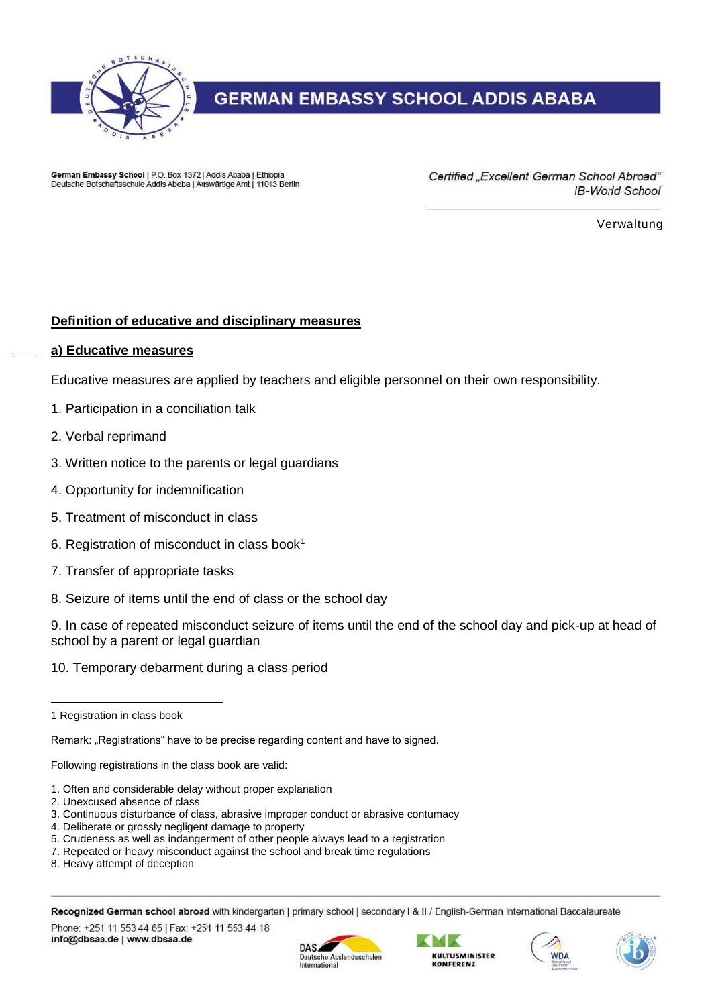

German Embassy School | P.O. Box 1372 | Addis Ababa | Ethiopia Deutsche Botschaftsschule Addis Abeba | Auswärtige Amt | 11013 Berlin Certified "Excellent German School Abroad" **IB-World School** 

Verwaltung

#### **Definition of educative and disciplinary measures**

#### **a) Educative measures**

Educative measures are applied by teachers and eligible personnel on their own responsibility.

- 1. Participation in a conciliation talk
- 2. Verbal reprimand
- 3. Written notice to the parents or legal guardians
- 4. Opportunity for indemnification
- 5. Treatment of misconduct in class
- 6. Registration of misconduct in class book<sup>1</sup>
- 7. Transfer of appropriate tasks
- 8. Seizure of items until the end of class or the school day

9. In case of repeated misconduct seizure of items until the end of the school day and pick-up at head of school by a parent or legal guardian

10. Temporary debarment during a class period

 $\overline{a}$ 

Remark: "Registrations" have to be precise regarding content and have to signed.

Following registrations in the class book are valid:

- 1. Often and considerable delay without proper explanation
- 2. Unexcused absence of class
- 3. Continuous disturbance of class, abrasive improper conduct or abrasive contumacy
- 4. Deliberate or grossly negligent damage to property
- 5. Crudeness as well as indangerment of other people always lead to a registration
- 7. Repeated or heavy misconduct against the school and break time regulations
- 8. Heavy attempt of deception

Recognized German school abroad with kindergarten | primary school | secondary I & II / English-German International Baccalaureate

Phone: +251 11 553 44 65 | Fax: +251 11 553 44 18 info@dbsaa.de | www.dbsaa.de









<sup>1</sup> Registration in class book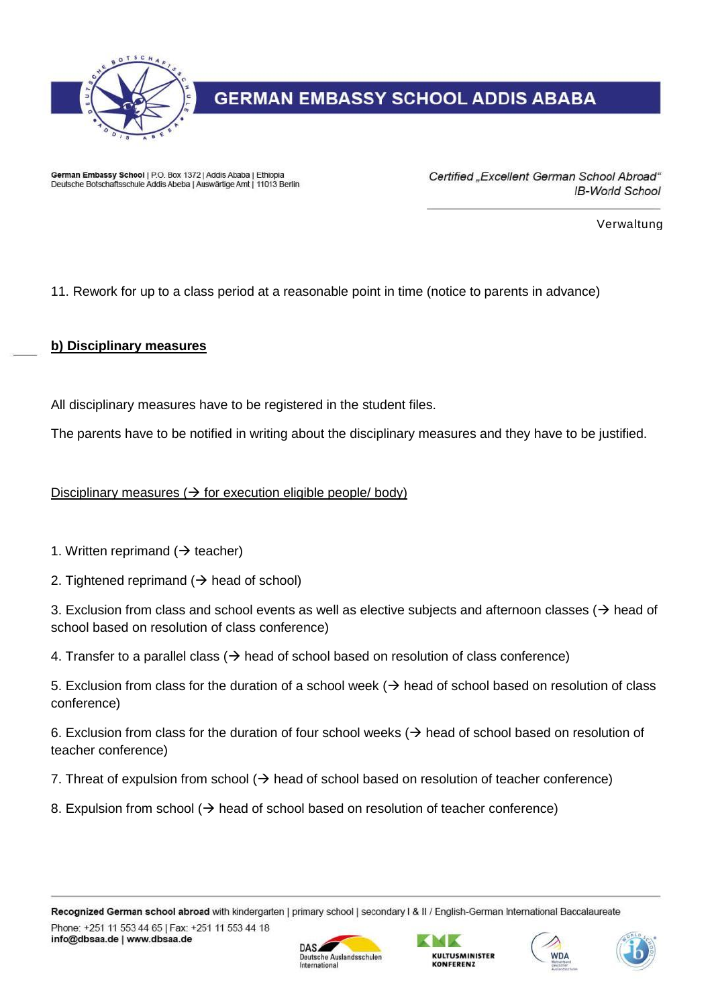

German Embassy School | P.O. Box 1372 | Addis Ababa | Ethiopia Deutsche Botschaftsschule Addis Abeba | Auswärtige Amt | 11013 Berlin Certified "Excellent German School Abroad" **IB-World School** 

Verwaltung

11. Rework for up to a class period at a reasonable point in time (notice to parents in advance)

#### **b) Disciplinary measures**

All disciplinary measures have to be registered in the student files.

The parents have to be notified in writing about the disciplinary measures and they have to be justified.

#### Disciplinary measures  $(\rightarrow$  for execution eligible people/ body)

- 1. Written reprimand ( $\rightarrow$  teacher)
- 2. Tightened reprimand  $($   $\rightarrow$  head of school)

3. Exclusion from class and school events as well as elective subjects and afternoon classes ( $\rightarrow$  head of school based on resolution of class conference)

4. Transfer to a parallel class  $($  $\rightarrow$  head of school based on resolution of class conference)

5. Exclusion from class for the duration of a school week ( $\rightarrow$  head of school based on resolution of class conference)

6. Exclusion from class for the duration of four school weeks  $($   $\rightarrow$  head of school based on resolution of teacher conference)

7. Threat of expulsion from school  $($  $\rightarrow$  head of school based on resolution of teacher conference)

8. Expulsion from school  $(\rightarrow)$  head of school based on resolution of teacher conference)







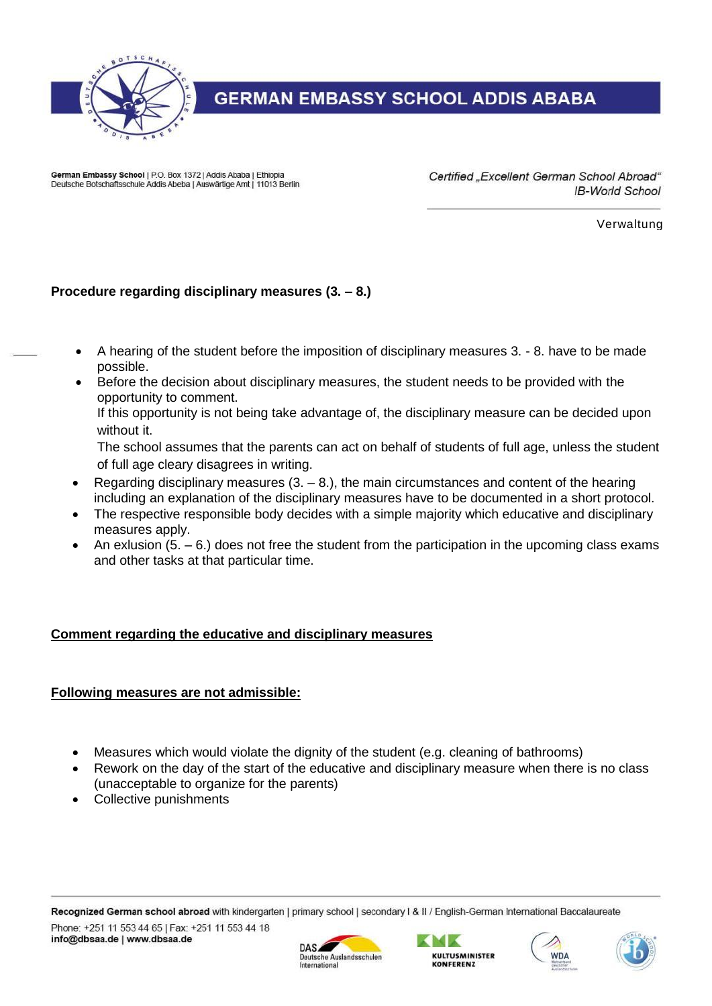

German Embassy School | P.O. Box 1372 | Addis Ababa | Ethiopia Deutsche Botschaftsschule Addis Abeba | Auswärtige Amt | 11013 Berlin Certified "Excellent German School Abroad" **IB-World School** 

Verwaltung

## **Procedure regarding disciplinary measures (3. – 8.)**

- A hearing of the student before the imposition of disciplinary measures 3. 8. have to be made possible.
- Before the decision about disciplinary measures, the student needs to be provided with the opportunity to comment.

If this opportunity is not being take advantage of, the disciplinary measure can be decided upon without it.

The school assumes that the parents can act on behalf of students of full age, unless the student of full age cleary disagrees in writing.

- Regarding disciplinary measures  $(3. 8.)$ , the main circumstances and content of the hearing including an explanation of the disciplinary measures have to be documented in a short protocol.
- The respective responsible body decides with a simple majority which educative and disciplinary measures apply.
- An exlusion (5.  $-6$ .) does not free the student from the participation in the upcoming class exams and other tasks at that particular time.

#### **Comment regarding the educative and disciplinary measures**

#### **Following measures are not admissible:**

- Measures which would violate the dignity of the student (e.g. cleaning of bathrooms)
- Rework on the day of the start of the educative and disciplinary measure when there is no class (unacceptable to organize for the parents)
- Collective punishments